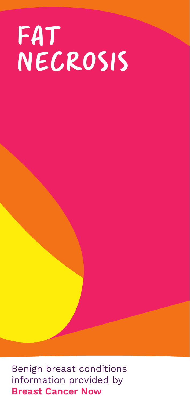# FAT NECROSIS

Benign breast conditions information provided by Breast Cancer Now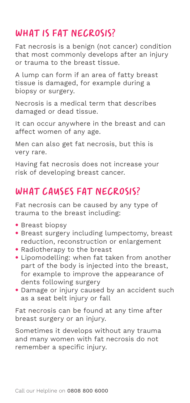### WHAT IS FAT NECROSIS?

Fat necrosis is a benign (not cancer) condition that most commonly develops after an injury or trauma to the breast tissue.

A lump can form if an area of fatty breast tissue is damaged, for example during a biopsy or surgery.

Necrosis is a medical term that describes damaged or dead tissue.

It can occur anywhere in the breast and can affect women of any age.

Men can also get fat necrosis, but this is very rare.

Having fat necrosis does not increase your risk of developing breast cancer.

### WHAT CAUSES FAT NECROSIS?

Fat necrosis can be caused by any type of trauma to the breast including:

- Breast biopsy
- Breast surgery including lumpectomy, breast reduction, reconstruction or enlargement
- Radiotherapy to the breast
- Lipomodelling: when fat taken from another part of the body is injected into the breast, for example to improve the appearance of dents following surgery
- Damage or injury caused by an accident such as a seat belt injury or fall

Fat necrosis can be found at any time after breast surgery or an injury.

Sometimes it develops without any trauma and many women with fat necrosis do not remember a specific injury.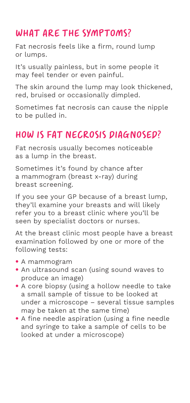### WHAT ARE THE SYMPTOMS?

Fat necrosis feels like a firm, round lump or lumps.

It's usually painless, but in some people it may feel tender or even painful.

The skin around the lump may look thickened, red, bruised or occasionally dimpled.

Sometimes fat necrosis can cause the nipple to be pulled in.

### How is fat necrosis diagnosed?

Fat necrosis usually becomes noticeable as a lump in the breast.

Sometimes it's found by chance after a mammogram (breast x-ray) during breast screening.

If you see your GP because of a breast lump, they'll examine your breasts and will likely refer you to a breast clinic where you'll be seen by specialist doctors or nurses.

At the breast clinic most people have a breast examination followed by one or more of the following tests:

- A mammogram
- An ultrasound scan (using sound waves to produce an image)
- A core biopsy (using a hollow needle to take a small sample of tissue to be looked at under a microscope – several tissue samples may be taken at the same time)
- A fine needle aspiration (using a fine needle and syringe to take a sample of cells to be looked at under a microscope)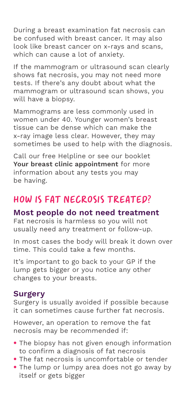During a breast examination fat necrosis can be confused with breast cancer. It may also look like breast cancer on x-rays and scans, which can cause a lot of anxiety.

If the mammogram or ultrasound scan clearly shows fat necrosis, you may not need more tests. If there's any doubt about what the mammogram or ultrasound scan shows, you will have a biopsy.

Mammograms are less commonly used in women under 40. Younger women's breast tissue can be dense which can make the x-ray image less clear. However, they may sometimes be used to help with the diagnosis.

Call our free Helpline or see our booklet Your breast clinic appointment for more information about any tests you may be having.

### How is fat necrosis treated?

#### Most people do not need treatment

Fat necrosis is harmless so you will not usually need any treatment or follow-up.

In most cases the body will break it down over time. This could take a few months.

It's important to go back to your GP if the lump gets bigger or you notice any other changes to your breasts.

#### Surgery

Surgery is usually avoided if possible because it can sometimes cause further fat necrosis.

However, an operation to remove the fat necrosis may be recommended if:

- The biopsy has not given enough information to confirm a diagnosis of fat necrosis
- The fat necrosis is uncomfortable or tender
- The lump or lumpy area does not go away by itself or gets bigger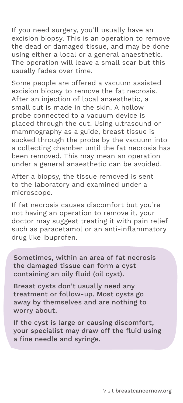If you need surgery, you'll usually have an excision biopsy. This is an operation to remove the dead or damaged tissue, and may be done using either a local or a general anaesthetic. The operation will leave a small scar but this usually fades over time.

Some people are offered a vacuum assisted excision biopsy to remove the fat necrosis. After an injection of local anaesthetic, a small cut is made in the skin. A hollow probe connected to a vacuum device is placed through the cut. Using ultrasound or mammography as a guide, breast tissue is sucked through the probe by the vacuum into a collecting chamber until the fat necrosis has been removed. This may mean an operation under a general anaesthetic can be avoided.

After a biopsy, the tissue removed is sent to the laboratory and examined under a microscope.

If fat necrosis causes discomfort but you're not having an operation to remove it, your doctor may suggest treating it with pain relief such as paracetamol or an anti-inflammatory drug like ibuprofen.

Sometimes, within an area of fat necrosis the damaged tissue can form a cyst containing an oily fluid (oil cyst).

Breast cysts don't usually need any treatment or follow-up. Most cysts go away by themselves and are nothing to worry about.

If the cyst is large or causing discomfort, your specialist may draw off the fluid using a fine needle and syringe.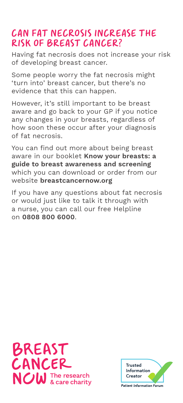### Can fat necrosis increase the risk of breast cancer?

Having fat necrosis does not increase your risk of developing breast cancer.

Some people worry the fat necrosis might 'turn into' breast cancer, but there's no evidence that this can happen.

However, it's still important to be breast aware and go back to your GP if you notice any changes in your breasts, regardless of how soon these occur after your diagnosis of fat necrosis.

You can find out more about being breast aware in our booklet Know your breasts: a guide to breast awareness and screening which you can download or order from our website breastcancernow.org

If you have any questions about fat necrosis or would just like to talk it through with a nurse, you can call our free Helpline on 0808 800 6000.



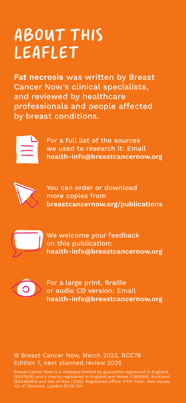### ABOUT THIS LEAFLET

Fat necrosis was written by Breast Cancer Now's clinical specialists, and reviewed by healthcare professionals and people affected by breast conditions.



For a full list of the sources we used to research it: Email health-info@breastcancernow.org



You can order or download more copies from breastcancernow.org/publications



We welcome your feedback on this publication: health-info@breastcancernow.org



For a large print, Braille or audio CD version: Email health-info@breastcancernow.org

#### © Breast Cancer Now, March 2022, BCC76 Edition 7, next planned review 2025

Breast Cancer Now is a company limited by guarantee registered in England<br>(9347608) and a charity registered in England and Wales (1160558), Scotland<br>(SC045584) and Isle of Man (1200). Registered Office: Fifth Floor, Ibex 42–47 Minories, London EC3N 1DY.